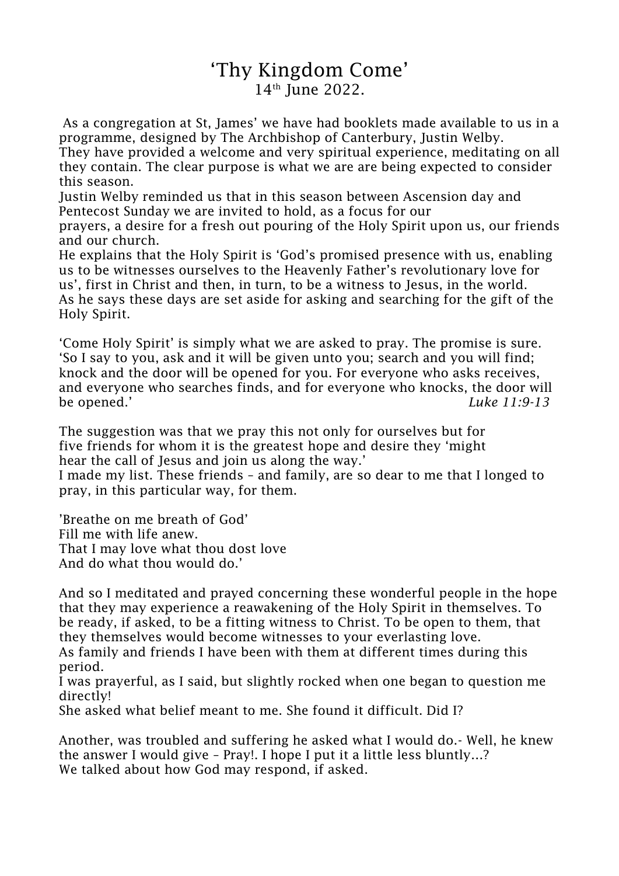## 'Thy Kingdom Come' 14<sup>th</sup> June 2022.

As a congregation at St, James' we have had booklets made available to us in a programme, designed by The Archbishop of Canterbury, Justin Welby.

They have provided a welcome and very spiritual experience, meditating on all they contain. The clear purpose is what we are are being expected to consider this season.

Justin Welby reminded us that in this season between Ascension day and Pentecost Sunday we are invited to hold, as a focus for our

prayers, a desire for a fresh out pouring of the Holy Spirit upon us, our friends and our church.

He explains that the Holy Spirit is 'God's promised presence with us, enabling us to be witnesses ourselves to the Heavenly Father's revolutionary love for us', first in Christ and then, in turn, to be a witness to Jesus, in the world. As he says these days are set aside for asking and searching for the gift of the Holy Spirit.

'Come Holy Spirit' is simply what we are asked to pray. The promise is sure. 'So I say to you, ask and it will be given unto you; search and you will find; knock and the door will be opened for you. For everyone who asks receives, and everyone who searches finds, and for everyone who knocks, the door will be opened.' *Luke 11:9-13*

The suggestion was that we pray this not only for ourselves but for five friends for whom it is the greatest hope and desire they 'might hear the call of Jesus and join us along the way.'

I made my list. These friends – and family, are so dear to me that I longed to pray, in this particular way, for them.

'Breathe on me breath of God' Fill me with life anew. That I may love what thou dost love And do what thou would do.'

And so I meditated and prayed concerning these wonderful people in the hope that they may experience a reawakening of the Holy Spirit in themselves. To be ready, if asked, to be a fitting witness to Christ. To be open to them, that they themselves would become witnesses to your everlasting love. As family and friends I have been with them at different times during this period.

I was prayerful, as I said, but slightly rocked when one began to question me directly!

She asked what belief meant to me. She found it difficult. Did I?

Another, was troubled and suffering he asked what I would do.- Well, he knew the answer I would give – Pray!. I hope I put it a little less bluntly…? We talked about how God may respond, if asked.